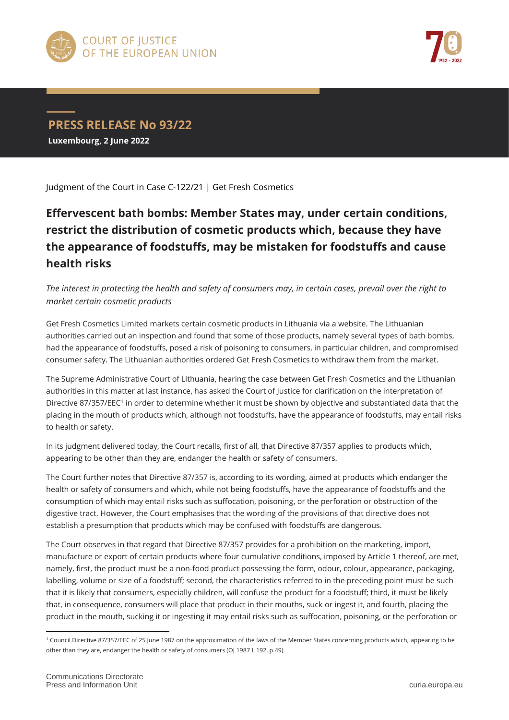



## **PRESS RELEASE No 93/22 Luxembourg, 2 June 2022**

Judgment of the Court in Case C-122/21 | Get Fresh Cosmetics

## **Effervescent bath bombs: Member States may, under certain conditions, restrict the distribution of cosmetic products which, because they have the appearance of foodstuffs, may be mistaken for foodstuffs and cause health risks**

*The interest in protecting the health and safety of consumers may, in certain cases, prevail over the right to market certain cosmetic products*

Get Fresh Cosmetics Limited markets certain cosmetic products in Lithuania via a website. The Lithuanian authorities carried out an inspection and found that some of those products, namely several types of bath bombs, had the appearance of foodstuffs, posed a risk of poisoning to consumers, in particular children, and compromised consumer safety. The Lithuanian authorities ordered Get Fresh Cosmetics to withdraw them from the market.

The Supreme Administrative Court of Lithuania, hearing the case between Get Fresh Cosmetics and the Lithuanian authorities in this matter at last instance, has asked the Court of Justice for clarification on the interpretation of Directive 87/357/EEC<sup>1</sup> in order to determine whether it must be shown by objective and substantiated data that the placing in the mouth of products which, although not foodstuffs, have the appearance of foodstuffs, may entail risks to health or safety.

In its judgment delivered today, the Court recalls, first of all, that Directive 87/357 applies to products which, appearing to be other than they are, endanger the health or safety of consumers.

The Court further notes that Directive 87/357 is, according to its wording, aimed at products which endanger the health or safety of consumers and which, while not being foodstuffs, have the appearance of foodstuffs and the consumption of which may entail risks such as suffocation, poisoning, or the perforation or obstruction of the digestive tract. However, the Court emphasises that the wording of the provisions of that directive does not establish a presumption that products which may be confused with foodstuffs are dangerous.

The Court observes in that regard that Directive 87/357 provides for a prohibition on the marketing, import, manufacture or export of certain products where four cumulative conditions, imposed by Article 1 thereof, are met, namely, first, the product must be a non-food product possessing the form, odour, colour, appearance, packaging, labelling, volume or size of a foodstuff; second, the characteristics referred to in the preceding point must be such that it is likely that consumers, especially children, will confuse the product for a foodstuff; third, it must be likely that, in consequence, consumers will place that product in their mouths, suck or ingest it, and fourth, placing the product in the mouth, sucking it or ingesting it may entail risks such as suffocation, poisoning, or the perforation or

 $\overline{a}$ 

<sup>1</sup> Council Directive 87/357/EEC of 25 June 1987 on the approximation of the laws of the Member States concerning products which, appearing to be other than they are, endanger the health or safety of consumers (OJ 1987 L 192, p.49).